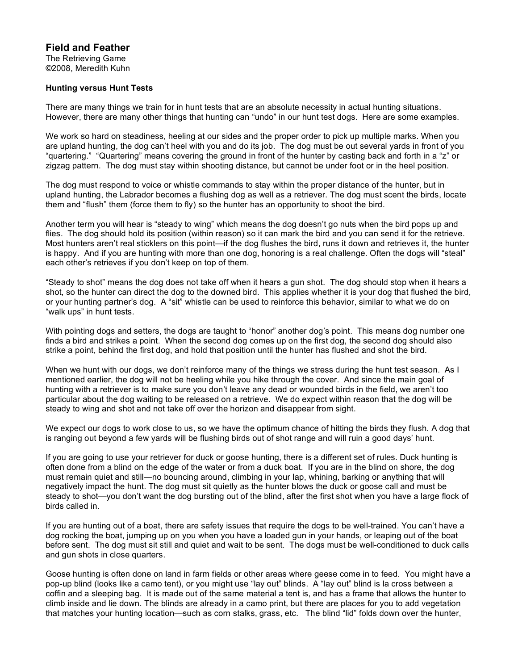## **Field and Feather**

The Retrieving Game ©2008, Meredith Kuhn

## **Hunting versus Hunt Tests**

There are many things we train for in hunt tests that are an absolute necessity in actual hunting situations. However, there are many other things that hunting can "undo" in our hunt test dogs. Here are some examples.

We work so hard on steadiness, heeling at our sides and the proper order to pick up multiple marks. When you are upland hunting, the dog can't heel with you and do its job. The dog must be out several yards in front of you "quartering." "Quartering" means covering the ground in front of the hunter by casting back and forth in a "z" or zigzag pattern. The dog must stay within shooting distance, but cannot be under foot or in the heel position.

The dog must respond to voice or whistle commands to stay within the proper distance of the hunter, but in upland hunting, the Labrador becomes a flushing dog as well as a retriever. The dog must scent the birds, locate them and "flush" them (force them to fly) so the hunter has an opportunity to shoot the bird.

Another term you will hear is "steady to wing" which means the dog doesn't go nuts when the bird pops up and flies. The dog should hold its position (within reason) so it can mark the bird and you can send it for the retrieve. Most hunters aren't real sticklers on this point—if the dog flushes the bird, runs it down and retrieves it, the hunter is happy. And if you are hunting with more than one dog, honoring is a real challenge. Often the dogs will "steal" each other's retrieves if you don't keep on top of them.

"Steady to shot" means the dog does not take off when it hears a gun shot. The dog should stop when it hears a shot, so the hunter can direct the dog to the downed bird. This applies whether it is your dog that flushed the bird, or your hunting partner's dog. A "sit" whistle can be used to reinforce this behavior, similar to what we do on "walk ups" in hunt tests.

With pointing dogs and setters, the dogs are taught to "honor" another dog's point. This means dog number one finds a bird and strikes a point. When the second dog comes up on the first dog, the second dog should also strike a point, behind the first dog, and hold that position until the hunter has flushed and shot the bird.

When we hunt with our dogs, we don't reinforce many of the things we stress during the hunt test season. As I mentioned earlier, the dog will not be heeling while you hike through the cover. And since the main goal of hunting with a retriever is to make sure you don't leave any dead or wounded birds in the field, we aren't too particular about the dog waiting to be released on a retrieve. We do expect within reason that the dog will be steady to wing and shot and not take off over the horizon and disappear from sight.

We expect our dogs to work close to us, so we have the optimum chance of hitting the birds they flush. A dog that is ranging out beyond a few yards will be flushing birds out of shot range and will ruin a good days' hunt.

If you are going to use your retriever for duck or goose hunting, there is a different set of rules. Duck hunting is often done from a blind on the edge of the water or from a duck boat. If you are in the blind on shore, the dog must remain quiet and still—no bouncing around, climbing in your lap, whining, barking or anything that will negatively impact the hunt. The dog must sit quietly as the hunter blows the duck or goose call and must be steady to shot—you don't want the dog bursting out of the blind, after the first shot when you have a large flock of birds called in.

If you are hunting out of a boat, there are safety issues that require the dogs to be well-trained. You can't have a dog rocking the boat, jumping up on you when you have a loaded gun in your hands, or leaping out of the boat before sent. The dog must sit still and quiet and wait to be sent. The dogs must be well-conditioned to duck calls and gun shots in close quarters.

Goose hunting is often done on land in farm fields or other areas where geese come in to feed. You might have a pop-up blind (looks like a camo tent), or you might use "lay out" blinds. A "lay out" blind is la cross between a coffin and a sleeping bag. It is made out of the same material a tent is, and has a frame that allows the hunter to climb inside and lie down. The blinds are already in a camo print, but there are places for you to add vegetation that matches your hunting location—such as corn stalks, grass, etc. The blind "lid" folds down over the hunter,